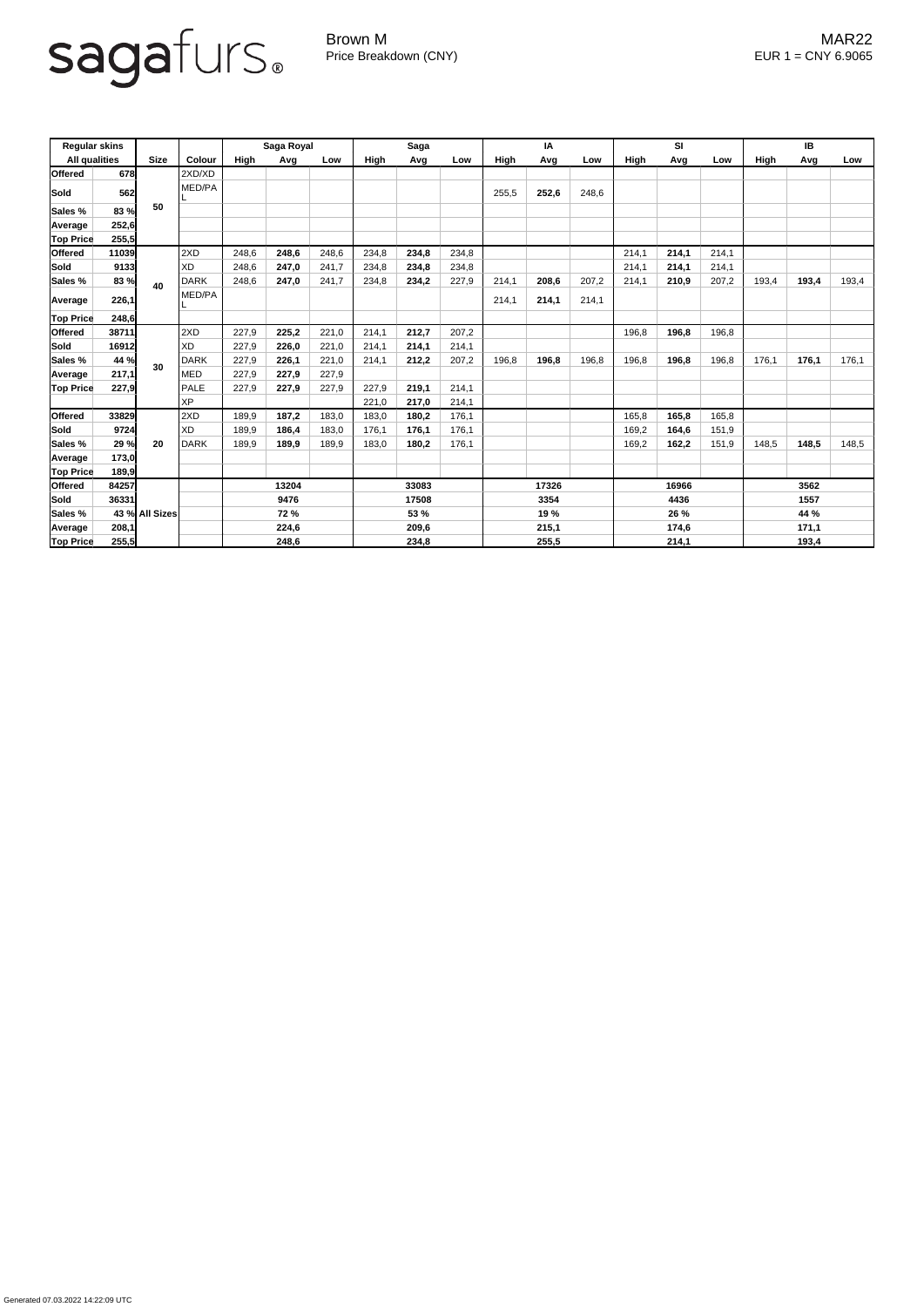## sagafurs.

Generated 07.03.2022 14:22:09 UTC

Brown M MAR22 Price Breakdown (CNY) EUR 1 = CNY 6.9065

| <b>Regular skins</b><br><b>All qualities</b> |       |                | <b>Colour</b> | Saga Royal  |       |       | <b>Saga</b> |       |       | IA          |       |       | <b>SI</b>   |       |       | IB           |       |       |
|----------------------------------------------|-------|----------------|---------------|-------------|-------|-------|-------------|-------|-------|-------------|-------|-------|-------------|-------|-------|--------------|-------|-------|
|                                              |       | <b>Size</b>    |               | <b>High</b> | Avg   | Low   | High        | Avg   | Low   | <b>High</b> | Avg   | Low   | <b>High</b> | Avg   | Low   | <b>High</b>  | Avg   | Low   |
| <b>Offered</b>                               | 678   |                | 2XD/XD        |             |       |       |             |       |       |             |       |       |             |       |       |              |       |       |
| Sold                                         | 562   | 50             | MED/PA        |             |       |       |             |       |       | 255,5       | 252,6 | 248,6 |             |       |       |              |       |       |
| Sales %                                      | 83 %  |                |               |             |       |       |             |       |       |             |       |       |             |       |       |              |       |       |
| Average                                      | 252,6 |                |               |             |       |       |             |       |       |             |       |       |             |       |       |              |       |       |
| <b>Top Price</b>                             | 255,5 |                |               |             |       |       |             |       |       |             |       |       |             |       |       |              |       |       |
| <b>Offered</b>                               | 11039 |                | 2XD           | 248,6       | 248,6 | 248,6 | 234,8       | 234,8 | 234,8 |             |       |       | 214,1       | 214,1 | 214,1 |              |       |       |
| Sold                                         | 9133  |                | <b>XD</b>     | 248,6       | 247,0 | 241,7 | 234,8       | 234,8 | 234,8 |             |       |       | 214,1       | 214,1 | 214,1 |              |       |       |
| Sales %                                      | 83 %  | 40             | <b>DARK</b>   | 248,6       | 247,0 | 241,7 | 234,8       | 234,2 | 227,9 | 214,1       | 208,6 | 207,2 | 214,1       | 210,9 | 207,2 | 193,4        | 193,4 | 193,4 |
| <b>Average</b>                               | 226,1 |                | MED/PA        |             |       |       |             |       |       | 214,1       | 214,1 | 214,1 |             |       |       |              |       |       |
| <b>Top Price</b>                             | 248,6 |                |               |             |       |       |             |       |       |             |       |       |             |       |       |              |       |       |
| Offered                                      | 38711 |                | 2XD           | 227,9       | 225,2 | 221,0 | 214,1       | 212,7 | 207,2 |             |       |       | 196,8       | 196,8 | 196,8 |              |       |       |
| Sold                                         | 16912 |                | <b>XD</b>     | 227,9       | 226,0 | 221,0 | 214,1       | 214,1 | 214,1 |             |       |       |             |       |       |              |       |       |
| Sales %                                      | 44 %  | 30             | <b>DARK</b>   | 227,9       | 226,1 | 221,0 | 214,1       | 212,2 | 207,2 | 196,8       | 196,8 | 196,8 | 196,8       | 196,8 | 196,8 | 176,1        | 176,1 | 176,1 |
| Average                                      | 217,1 |                | <b>MED</b>    | 227,9       | 227,9 | 227,9 |             |       |       |             |       |       |             |       |       |              |       |       |
| <b>Top Price</b>                             | 227,9 |                | PALE          | 227,9       | 227,9 | 227,9 | 227,9       | 219,1 | 214,1 |             |       |       |             |       |       |              |       |       |
|                                              |       |                | <b>XP</b>     |             |       |       | 221,0       | 217,0 | 214,1 |             |       |       |             |       |       |              |       |       |
| <b>Offered</b>                               | 33829 |                | 2XD           | 189,9       | 187,2 | 183,0 | 183,0       | 180,2 | 176,1 |             |       |       | 165,8       | 165,8 | 165,8 |              |       |       |
| Sold                                         | 9724  |                | <b>XD</b>     | 189,9       | 186,4 | 183,0 | 176,1       | 176,1 | 176,1 |             |       |       | 169,2       | 164,6 | 151,9 |              |       |       |
| Sales %                                      | 29 %  | 20             | DARK          | 189,9       | 189,9 | 189,9 | 183,0       | 180,2 | 176,1 |             |       |       | 169,2       | 162,2 | 151,9 | 148,5        | 148,5 | 148,5 |
| Average                                      | 173,0 |                |               |             |       |       |             |       |       |             |       |       |             |       |       |              |       |       |
| <b>Top Price</b>                             | 189,9 |                |               |             |       |       |             |       |       |             |       |       |             |       |       |              |       |       |
| <b>Offered</b>                               | 84257 |                |               | 13204       |       |       | 33083       |       |       | 17326       |       | 16966 |             |       | 3562  |              |       |       |
| Sold                                         | 36331 |                |               | 9476        |       |       | 17508       |       |       | 3354        |       | 4436  |             |       | 1557  |              |       |       |
| Sales %                                      |       | 43 % All Sizes |               | <b>72 %</b> |       |       | 53 %        |       |       | 19 %        |       | 26 %  |             |       | 44 %  |              |       |       |
| Average                                      | 208,1 |                |               |             | 224,6 |       |             | 209,6 |       | 215,1       |       | 174,6 |             |       | 171,1 |              |       |       |
| <b>Top Price</b>                             | 255,5 |                |               | 248,6       |       |       | 234,8       |       |       | 255,5       |       |       | 214,1       |       |       | <u>193,4</u> |       |       |